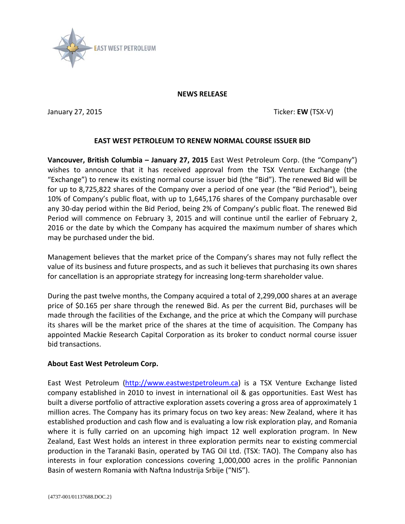

## **NEWS RELEASE**

January 27, 2015 **Ticker: EW** (TSX-V)

## **EAST WEST PETROLEUM TO RENEW NORMAL COURSE ISSUER BID**

**Vancouver, British Columbia – January 27, 2015** East West Petroleum Corp. (the "Company") wishes to announce that it has received approval from the TSX Venture Exchange (the "Exchange") to renew its existing normal course issuer bid (the "Bid"). The renewed Bid will be for up to 8,725,822 shares of the Company over a period of one year (the "Bid Period"), being 10% of Company's public float, with up to 1,645,176 shares of the Company purchasable over any 30-day period within the Bid Period, being 2% of Company's public float. The renewed Bid Period will commence on February 3, 2015 and will continue until the earlier of February 2, 2016 or the date by which the Company has acquired the maximum number of shares which may be purchased under the bid.

Management believes that the market price of the Company's shares may not fully reflect the value of its business and future prospects, and as such it believes that purchasing its own shares for cancellation is an appropriate strategy for increasing long-term shareholder value.

During the past twelve months, the Company acquired a total of 2,299,000 shares at an average price of \$0.165 per share through the renewed Bid. As per the current Bid, purchases will be made through the facilities of the Exchange, and the price at which the Company will purchase its shares will be the market price of the shares at the time of acquisition. The Company has appointed Mackie Research Capital Corporation as its broker to conduct normal course issuer bid transactions.

## **About East West Petroleum Corp.**

East West Petroleum [\(http://www.eastwestpetroleum.ca\)](http://www.eastwestpetroleum.ca/) is a TSX Venture Exchange listed company established in 2010 to invest in international oil & gas opportunities. East West has built a diverse portfolio of attractive exploration assets covering a gross area of approximately 1 million acres. The Company has its primary focus on two key areas: New Zealand, where it has established production and cash flow and is evaluating a low risk exploration play, and Romania where it is fully carried on an upcoming high impact 12 well exploration program. In New Zealand, East West holds an interest in three exploration permits near to existing commercial production in the Taranaki Basin, operated by TAG Oil Ltd. (TSX: TAO). The Company also has interests in four exploration concessions covering 1,000,000 acres in the prolific Pannonian Basin of western Romania with Naftna Industrija Srbije ("NIS").